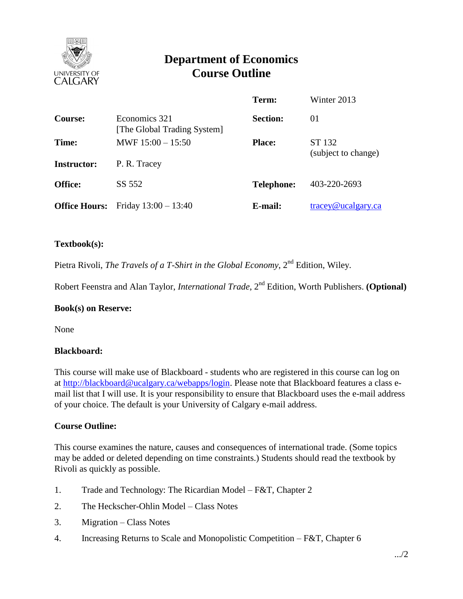

# **Department of Economics Course Outline**

|                      |                                              | Term:             | Winter 2013                      |
|----------------------|----------------------------------------------|-------------------|----------------------------------|
| <b>Course:</b>       | Economics 321<br>[The Global Trading System] | <b>Section:</b>   | 01                               |
| Time:                | MWF $15:00 - 15:50$                          | <b>Place:</b>     | ST 132                           |
| <b>Instructor:</b>   | P. R. Tracey                                 |                   | (subject to change)              |
| <b>Office:</b>       | SS 552                                       | <b>Telephone:</b> | 403-220-2693                     |
| <b>Office Hours:</b> | Friday $13:00 - 13:40$                       | E-mail:           | $trace\sqrt{\omega}$ ucalgary.ca |

#### **Textbook(s):**

Pietra Rivoli, *The Travels of a T-Shirt in the Global Economy*, 2<sup>nd</sup> Edition, Wiley.

Robert Feenstra and Alan Taylor, *International Trade*, 2nd Edition, Worth Publishers. **(Optional)**

#### **Book(s) on Reserve:**

None

#### **Blackboard:**

This course will make use of Blackboard - students who are registered in this course can log on at [http://blackboard@ucalgary.ca/webapps/login.](http://blackboard@ucalgary.ca/webapps/login) Please note that Blackboard features a class email list that I will use. It is your responsibility to ensure that Blackboard uses the e-mail address of your choice. The default is your University of Calgary e-mail address.

#### **Course Outline:**

This course examines the nature, causes and consequences of international trade. (Some topics may be added or deleted depending on time constraints.) Students should read the textbook by Rivoli as quickly as possible.

- 1. Trade and Technology: The Ricardian Model F&T, Chapter 2
- 2. The Heckscher-Ohlin Model Class Notes
- 3. Migration Class Notes
- 4. Increasing Returns to Scale and Monopolistic Competition F&T, Chapter 6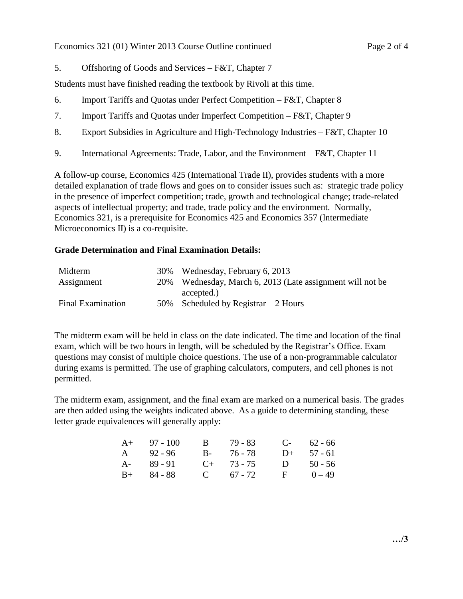5. Offshoring of Goods and Services – F&T, Chapter 7

Students must have finished reading the textbook by Rivoli at this time.

- 6. Import Tariffs and Quotas under Perfect Competition F&T, Chapter 8
- 7. Import Tariffs and Quotas under Imperfect Competition F&T, Chapter 9
- 8. Export Subsidies in Agriculture and High-Technology Industries F&T, Chapter 10
- 9. International Agreements: Trade, Labor, and the Environment F&T, Chapter 11

A follow-up course, Economics 425 (International Trade II), provides students with a more detailed explanation of trade flows and goes on to consider issues such as: strategic trade policy in the presence of imperfect competition; trade, growth and technological change; trade-related aspects of intellectual property; and trade, trade policy and the environment. Normally, Economics 321, is a prerequisite for Economics 425 and Economics 357 (Intermediate Microeconomics II) is a co-requisite.

## **Grade Determination and Final Examination Details:**

| Midterm                  | 30% Wednesday, February 6, 2013                           |
|--------------------------|-----------------------------------------------------------|
| Assignment               | 20% Wednesday, March 6, 2013 (Late assignment will not be |
|                          | accepted.)                                                |
| <b>Final Examination</b> | 50% Scheduled by Registrar $-2$ Hours                     |

The midterm exam will be held in class on the date indicated. The time and location of the final exam, which will be two hours in length, will be scheduled by the Registrar's Office. Exam questions may consist of multiple choice questions. The use of a non-programmable calculator during exams is permitted. The use of graphing calculators, computers, and cell phones is not permitted.

The midterm exam, assignment, and the final exam are marked on a numerical basis. The grades are then added using the weights indicated above. As a guide to determining standing, these letter grade equivalences will generally apply:

| $A+ 97 - 100$ | B 79 - 83       |    | $C-$ 62 - 66 |
|---------------|-----------------|----|--------------|
| A 92-96       | B- 76-78        |    | $D+ 57 - 61$ |
| $A - 89 - 91$ | $C_{+}$ 73 - 75 | D. | $50 - 56$    |
| $B+ 84 - 88$  | C $67 - 72$     |    | $F = 0 - 49$ |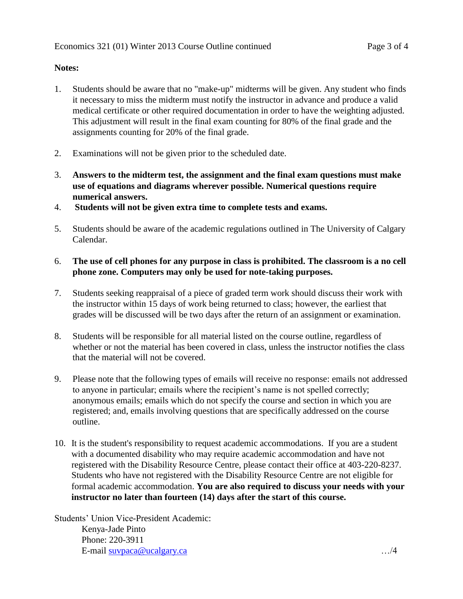# **Notes:**

- 1. Students should be aware that no "make-up" midterms will be given. Any student who finds it necessary to miss the midterm must notify the instructor in advance and produce a valid medical certificate or other required documentation in order to have the weighting adjusted. This adjustment will result in the final exam counting for 80% of the final grade and the assignments counting for 20% of the final grade.
- 2. Examinations will not be given prior to the scheduled date.
- 3. **Answers to the midterm test, the assignment and the final exam questions must make use of equations and diagrams wherever possible. Numerical questions require numerical answers.**
- 4. **Students will not be given extra time to complete tests and exams.**
- 5. Students should be aware of the academic regulations outlined in The University of Calgary Calendar.
- 6. **The use of cell phones for any purpose in class is prohibited. The classroom is a no cell phone zone. Computers may only be used for note-taking purposes.**
- 7. Students seeking reappraisal of a piece of graded term work should discuss their work with the instructor within 15 days of work being returned to class; however, the earliest that grades will be discussed will be two days after the return of an assignment or examination.
- 8. Students will be responsible for all material listed on the course outline, regardless of whether or not the material has been covered in class, unless the instructor notifies the class that the material will not be covered.
- 9. Please note that the following types of emails will receive no response: emails not addressed to anyone in particular; emails where the recipient's name is not spelled correctly; anonymous emails; emails which do not specify the course and section in which you are registered; and, emails involving questions that are specifically addressed on the course outline.
- 10. It is the student's responsibility to request academic accommodations. If you are a student with a documented disability who may require academic accommodation and have not registered with the Disability Resource Centre, please contact their office at 403-220-8237. Students who have not registered with the Disability Resource Centre are not eligible for formal academic accommodation. **You are also required to discuss your needs with your instructor no later than fourteen (14) days after the start of this course.**

Students' Union Vice-President Academic: Kenya-Jade Pinto Phone: 220-3911 E-mail [suvpaca@ucalgary.ca](mailto:subpaca@ucalgary.ca) …/4